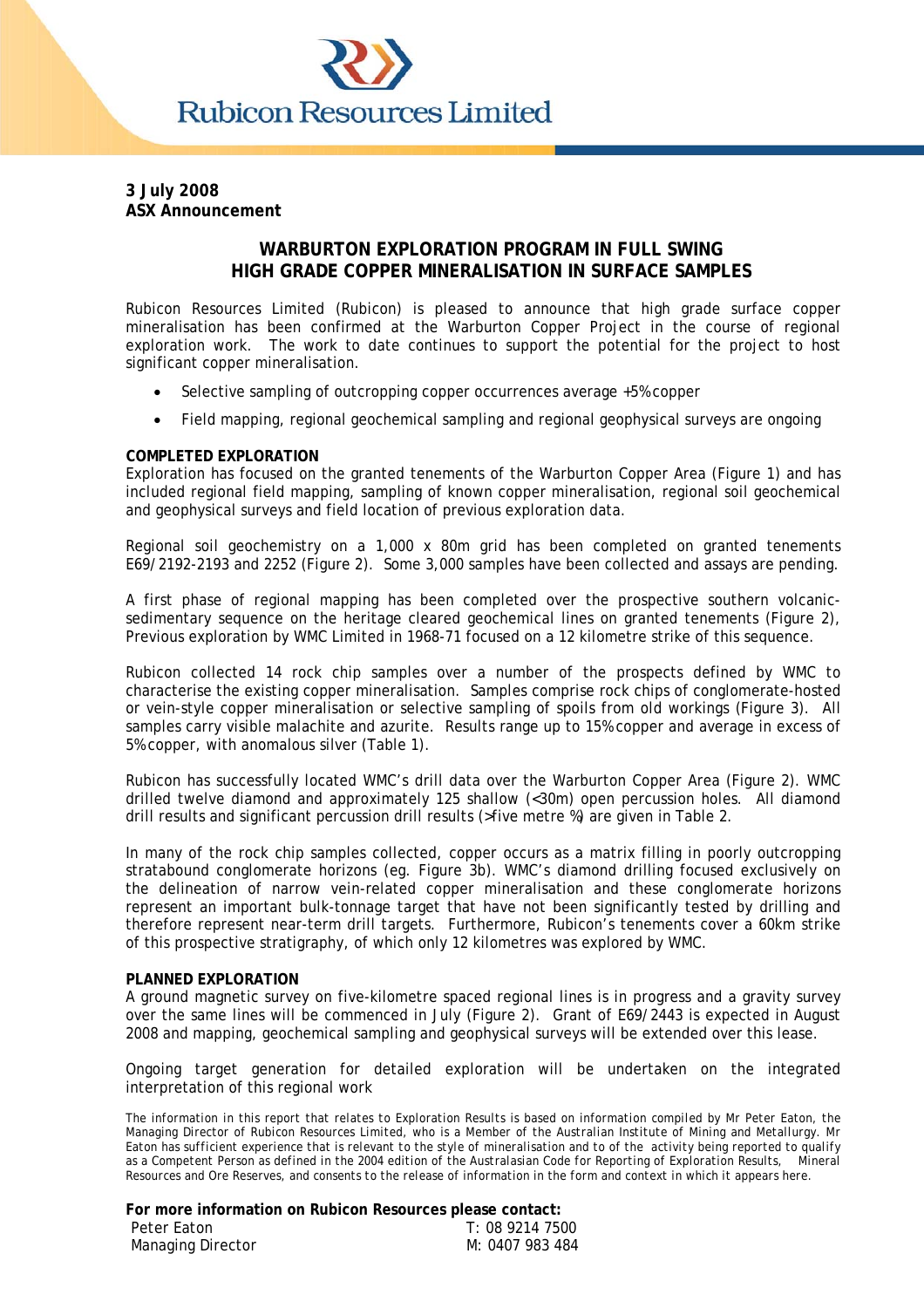

#### **3 July 2008 ASX Announcement**

# **WARBURTON EXPLORATION PROGRAM IN FULL SWING HIGH GRADE COPPER MINERALISATION IN SURFACE SAMPLES**

Rubicon Resources Limited (Rubicon) is pleased to announce that high grade surface copper mineralisation has been confirmed at the Warburton Copper Project in the course of regional exploration work. The work to date continues to support the potential for the project to host significant copper mineralisation.

- Selective sampling of outcropping copper occurrences average +5% copper
- Field mapping, regional geochemical sampling and regional geophysical surveys are ongoing

## **COMPLETED EXPLORATION**

Exploration has focused on the granted tenements of the Warburton Copper Area (Figure 1) and has included regional field mapping, sampling of known copper mineralisation, regional soil geochemical and geophysical surveys and field location of previous exploration data.

Regional soil geochemistry on a 1,000 x 80m grid has been completed on granted tenements E69/2192-2193 and 2252 (Figure 2). Some 3,000 samples have been collected and assays are pending.

A first phase of regional mapping has been completed over the prospective southern volcanicsedimentary sequence on the heritage cleared geochemical lines on granted tenements (Figure 2), Previous exploration by WMC Limited in 1968-71 focused on a 12 kilometre strike of this sequence.

Rubicon collected 14 rock chip samples over a number of the prospects defined by WMC to characterise the existing copper mineralisation. Samples comprise rock chips of conglomerate-hosted or vein-style copper mineralisation or selective sampling of spoils from old workings (Figure 3). All samples carry visible malachite and azurite. Results range up to 15% copper and average in excess of 5% copper, with anomalous silver (Table 1).

Rubicon has successfully located WMC's drill data over the Warburton Copper Area (Figure 2). WMC drilled twelve diamond and approximately 125 shallow (<30m) open percussion holes. All diamond drill results and significant percussion drill results (>five metre %) are given in Table 2.

In many of the rock chip samples collected, copper occurs as a matrix filling in poorly outcropping stratabound conglomerate horizons (eg. Figure 3b). WMC's diamond drilling focused exclusively on the delineation of narrow vein-related copper mineralisation and these conglomerate horizons represent an important bulk-tonnage target that have not been significantly tested by drilling and therefore represent near-term drill targets. Furthermore, Rubicon's tenements cover a 60km strike of this prospective stratigraphy, of which only 12 kilometres was explored by WMC.

#### **PLANNED EXPLORATION**

A ground magnetic survey on five-kilometre spaced regional lines is in progress and a gravity survey over the same lines will be commenced in July (Figure 2). Grant of E69/2443 is expected in August 2008 and mapping, geochemical sampling and geophysical surveys will be extended over this lease.

Ongoing target generation for detailed exploration will be undertaken on the integrated interpretation of this regional work

*The information in this report that relates to Exploration Results is based on information compiled by Mr Peter Eaton, the Managing Director of Rubicon Resources Limited, who is a Member of the Australian Institute of Mining and Metallurgy. Mr Eaton has sufficient experience that is relevant to the style of mineralisation and to of the activity being reported to qualify as a Competent Person as defined in the 2004 edition of the Australasian Code for Reporting of Exploration Results, Mineral Resources and Ore Reserves, and consents to the release of information in the form and context in which it appears here.*

| For more information on Rubicon Resources please contact: |                 |
|-----------------------------------------------------------|-----------------|
| Peter Eaton                                               | T: 08 9214 7500 |
| <b>Managing Director</b>                                  | M: 0407 983 484 |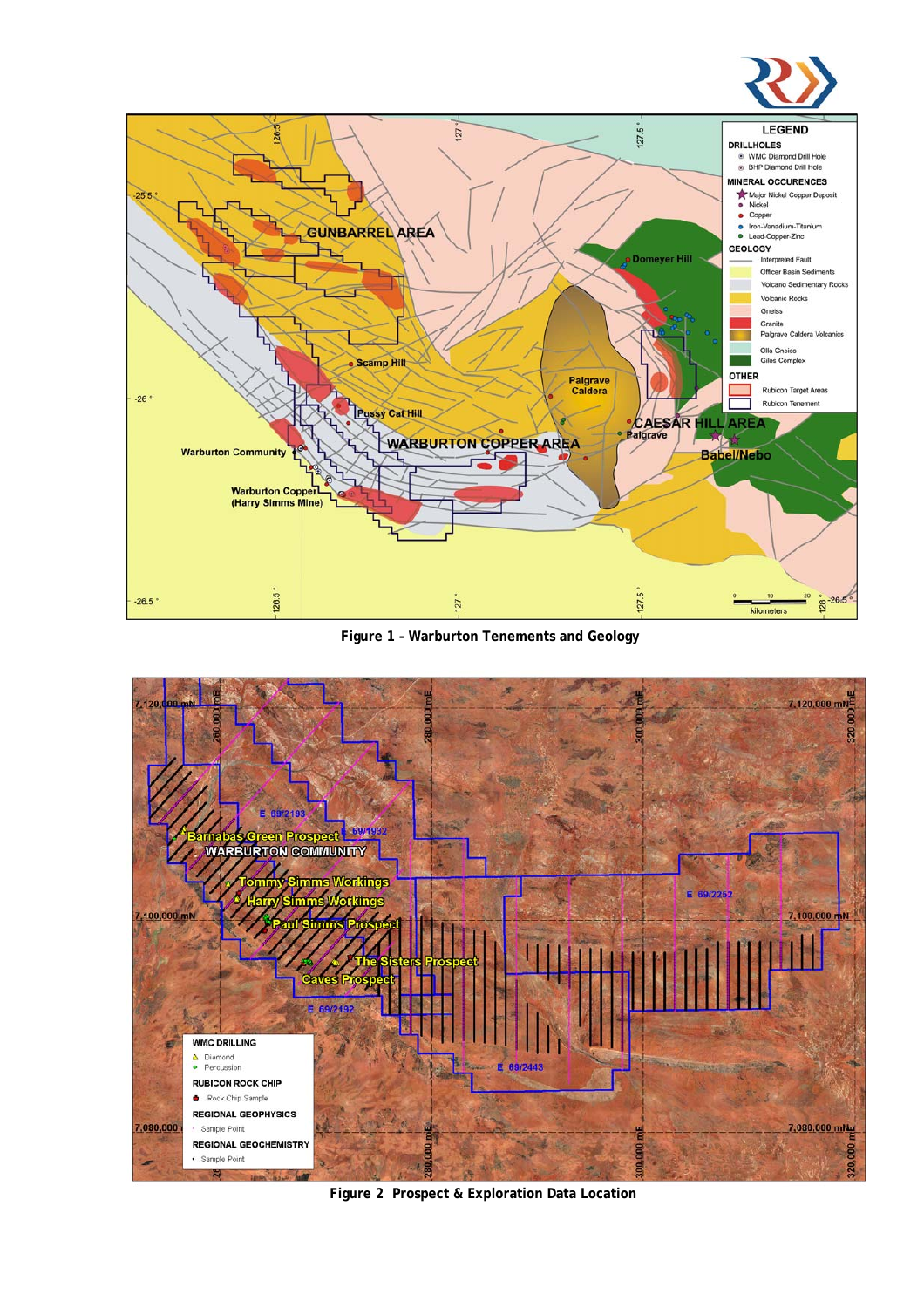



**Figure 1 – Warburton Tenements and Geology** 



**Figure 2 Prospect & Exploration Data Location**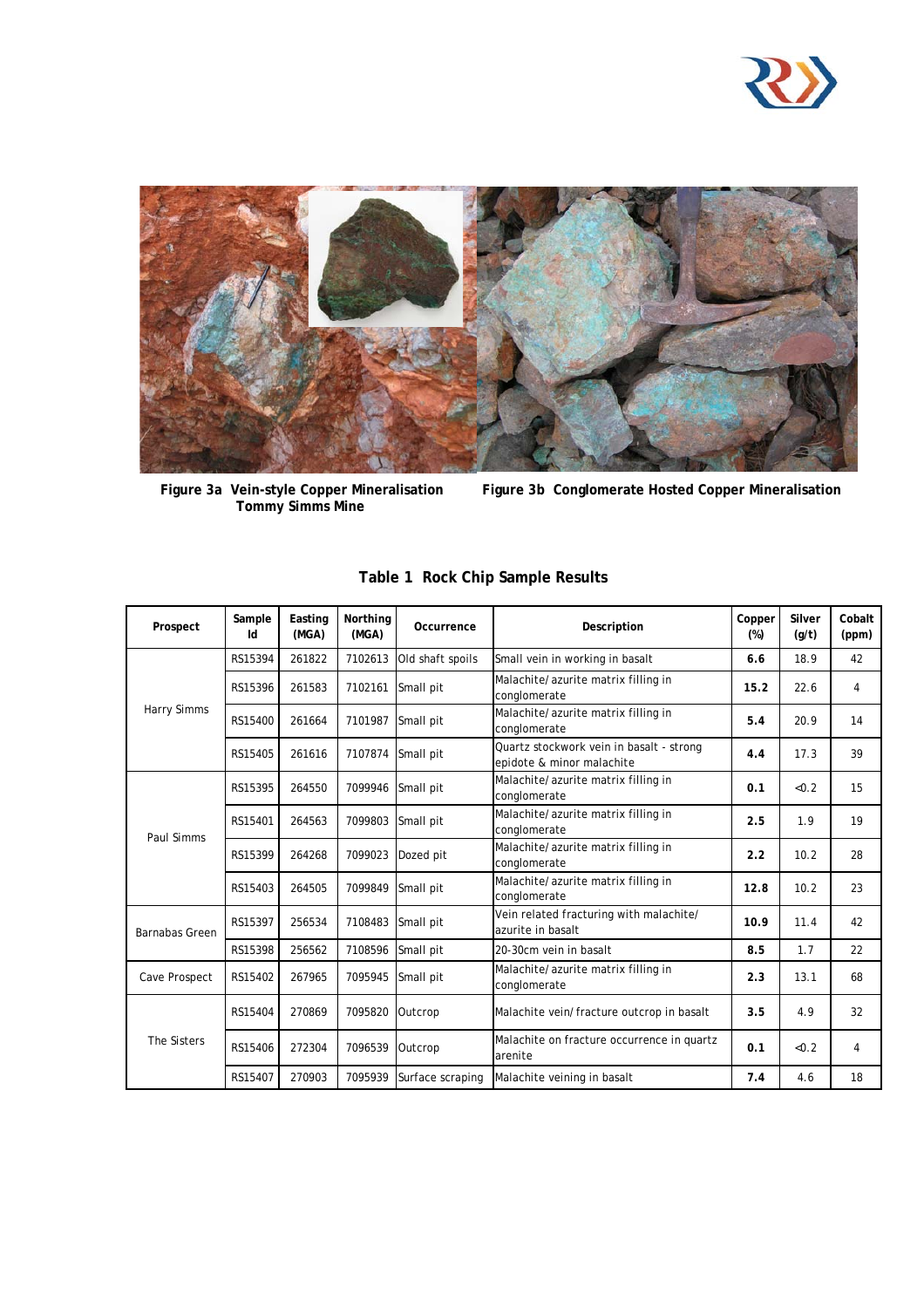



**Figure 3a Vein-style Copper Mineralisation**<br>Tommy Simms Mine

Figure 3b Conglomerate Hosted Copper Mineralisation

| Prospect           | Sample<br>Id | Easting<br>(MGA) | Northing<br>(MGA) | Occurrence       | Description                                                           | Copper<br>$(\%)$ | Silver<br>(g/t) | Cobalt<br>(ppm) |
|--------------------|--------------|------------------|-------------------|------------------|-----------------------------------------------------------------------|------------------|-----------------|-----------------|
| <b>Harry Simms</b> | RS15394      | 261822           | 7102613           | Old shaft spoils | Small vein in working in basalt                                       | 6.6              | 18.9            | 42              |
|                    | RS15396      | 261583           | 7102161           | Small pit        | Malachite/azurite matrix filling in<br>conglomerate                   | 15.2             | 22.6            | 4               |
|                    | RS15400      | 261664           | 7101987           | Small pit        | Malachite/azurite matrix filling in<br>conglomerate                   | 5.4              | 20.9            | 14              |
|                    | RS15405      | 261616           | 7107874           | Small pit        | Quartz stockwork vein in basalt - strong<br>epidote & minor malachite | 4.4              | 17.3            | 39              |
| Paul Simms         | RS15395      | 264550           | 7099946           | Small pit        | Malachite/azurite matrix filling in<br>conglomerate                   | 0.1              | &0.2            | 15              |
|                    | RS15401      | 264563           | 7099803           | Small pit        | Malachite/azurite matrix filling in<br>conglomerate                   |                  | 1.9             | 19              |
|                    | RS15399      | 264268           | 7099023           | Dozed pit        | Malachite/azurite matrix filling in<br>conglomerate                   | 2.2              | 10.2            | 28              |
|                    | RS15403      | 264505           | 7099849           | Small pit        | Malachite/azurite matrix filling in<br>conglomerate                   | 12.8             | 10.2            | 23              |
| Barnabas Green     | RS15397      | 256534           | 7108483           | Small pit        | Vein related fracturing with malachite/<br>azurite in basalt          | 10.9             | 11.4            | 42              |
|                    | RS15398      | 256562           | 7108596           | Small pit        | 20-30cm vein in basalt                                                | 8.5              | 1.7             | 22              |
| Cave Prospect      | RS15402      | 267965           | 7095945           | Small pit        | Malachite/azurite matrix filling in<br>conglomerate                   | 2.3              | 13.1            | 68              |
| The Sisters        | RS15404      | 270869           | 7095820           | Outcrop          | Malachite vein/fracture outcrop in basalt                             | 3.5              | 4.9             | 32              |
|                    | RS15406      | 272304           | 7096539           | Outcrop          | Malachite on fracture occurrence in quartz<br>arenite                 | 0.1              | &0.2            | 4               |
|                    | RS15407      | 270903           | 7095939           | Surface scraping | Malachite veining in basalt                                           | 7.4              | 4.6             | 18              |

# **Table 1 Rock Chip Sample Results**